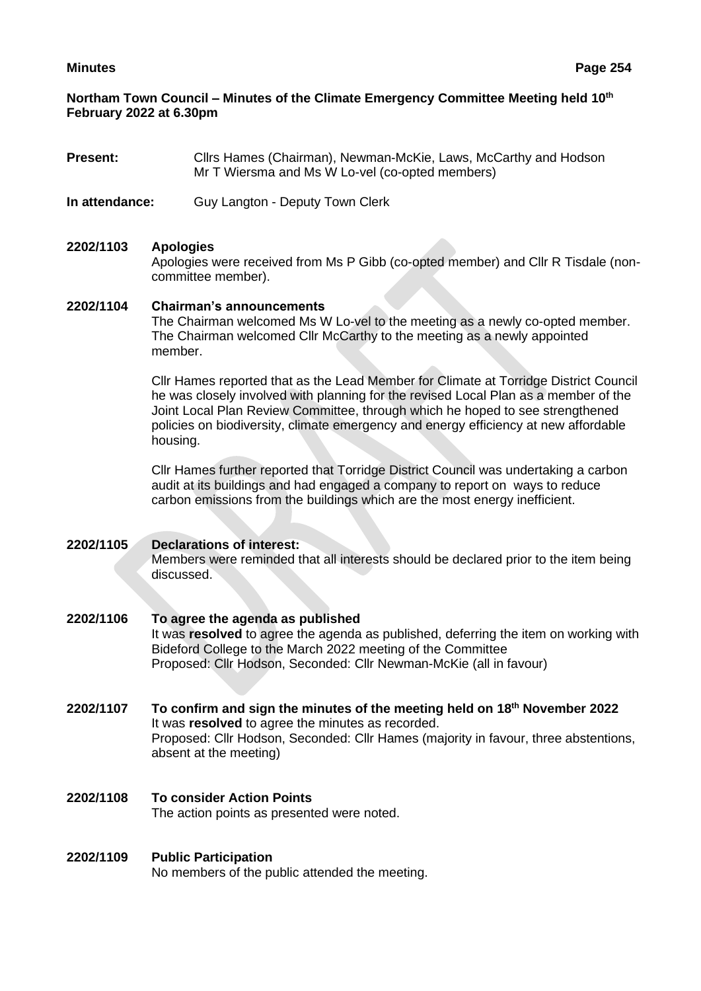## **Northam Town Council – Minutes of the Climate Emergency Committee Meeting held 10 th February 2022 at 6.30pm**

- **Present:** Clirs Hames (Chairman), Newman-McKie, Laws, McCarthy and Hodson Mr T Wiersma and Ms W Lo-vel (co-opted members)
- **In attendance:** Guy Langton Deputy Town Clerk

#### **2202/1103 Apologies**

Apologies were received from Ms P Gibb (co-opted member) and Cllr R Tisdale (noncommittee member).

#### **2202/1104 Chairman's announcements**

The Chairman welcomed Ms W Lo-vel to the meeting as a newly co-opted member. The Chairman welcomed Cllr McCarthy to the meeting as a newly appointed member.

Cllr Hames reported that as the Lead Member for Climate at Torridge District Council he was closely involved with planning for the revised Local Plan as a member of the Joint Local Plan Review Committee, through which he hoped to see strengthened policies on biodiversity, climate emergency and energy efficiency at new affordable housing.

Cllr Hames further reported that Torridge District Council was undertaking a carbon audit at its buildings and had engaged a company to report on ways to reduce carbon emissions from the buildings which are the most energy inefficient.

## **2202/1105 Declarations of interest:**

Members were reminded that all interests should be declared prior to the item being discussed.

#### **2202/1106 To agree the agenda as published** It was **resolved** to agree the agenda as published, deferring the item on working with Bideford College to the March 2022 meeting of the Committee Proposed: Cllr Hodson, Seconded: Cllr Newman-McKie (all in favour)

- **2202/1107 To confirm and sign the minutes of the meeting held on 18th November 2022** It was **resolved** to agree the minutes as recorded. Proposed: Cllr Hodson, Seconded: Cllr Hames (majority in favour, three abstentions, absent at the meeting)
- **2202/1108 To consider Action Points** The action points as presented were noted.

#### **2202/1109 Public Participation** No members of the public attended the meeting.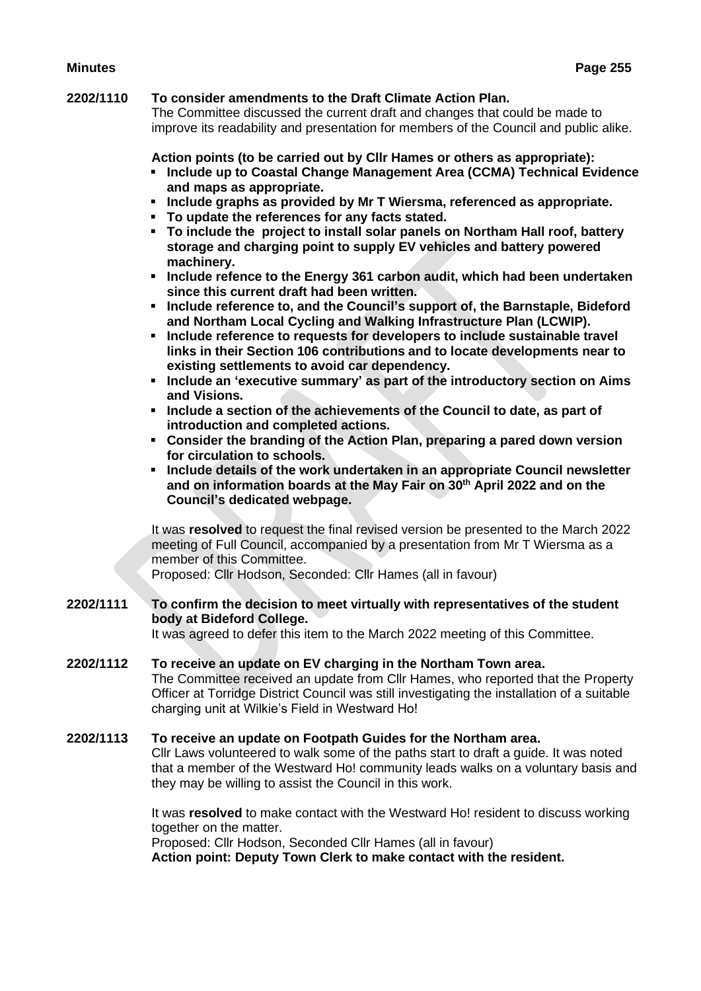# **2202/1110 To consider amendments to the Draft Climate Action Plan.**

The Committee discussed the current draft and changes that could be made to improve its readability and presentation for members of the Council and public alike.

#### **Action points (to be carried out by Cllr Hames or others as appropriate):**

- **Include up to Coastal Change Management Area (CCMA) Technical Evidence and maps as appropriate.**
- **Include graphs as provided by Mr T Wiersma, referenced as appropriate.**
- **To update the references for any facts stated.**
- **To include the project to install solar panels on Northam Hall roof, battery storage and charging point to supply EV vehicles and battery powered machinery.**
- **Include refence to the Energy 361 carbon audit, which had been undertaken since this current draft had been written.**
- **Include reference to, and the Council's support of, the Barnstaple, Bideford and Northam Local Cycling and Walking Infrastructure Plan (LCWIP).**
- **Include reference to requests for developers to include sustainable travel links in their Section 106 contributions and to locate developments near to existing settlements to avoid car dependency.**
- **Include an 'executive summary' as part of the introductory section on Aims and Visions.**
- **Include a section of the achievements of the Council to date, as part of introduction and completed actions.**
- **Consider the branding of the Action Plan, preparing a pared down version for circulation to schools.**
- **Include details of the work undertaken in an appropriate Council newsletter and on information boards at the May Fair on 30th April 2022 and on the Council's dedicated webpage.**

It was **resolved** to request the final revised version be presented to the March 2022 meeting of Full Council, accompanied by a presentation from Mr T Wiersma as a member of this Committee.

Proposed: Cllr Hodson, Seconded: Cllr Hames (all in favour)

#### **2202/1111 To confirm the decision to meet virtually with representatives of the student body at Bideford College.**

It was agreed to defer this item to the March 2022 meeting of this Committee.

## **2202/1112 To receive an update on EV charging in the Northam Town area.**

The Committee received an update from Cllr Hames, who reported that the Property Officer at Torridge District Council was still investigating the installation of a suitable charging unit at Wilkie's Field in Westward Ho!

#### **2202/1113 To receive an update on Footpath Guides for the Northam area.**

Cllr Laws volunteered to walk some of the paths start to draft a guide. It was noted that a member of the Westward Ho! community leads walks on a voluntary basis and they may be willing to assist the Council in this work.

It was **resolved** to make contact with the Westward Ho! resident to discuss working together on the matter.

Proposed: Cllr Hodson, Seconded Cllr Hames (all in favour)

**Action point: Deputy Town Clerk to make contact with the resident.**